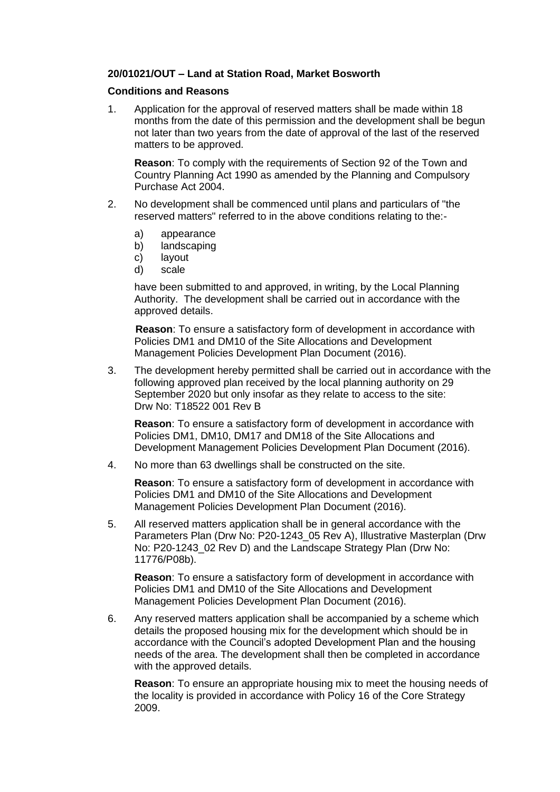## **20/01021/OUT – Land at Station Road, Market Bosworth**

## **Conditions and Reasons**

1. Application for the approval of reserved matters shall be made within 18 months from the date of this permission and the development shall be begun not later than two years from the date of approval of the last of the reserved matters to be approved.

**Reason**: To comply with the requirements of Section 92 of the Town and Country Planning Act 1990 as amended by the Planning and Compulsory Purchase Act 2004.

- 2. No development shall be commenced until plans and particulars of "the reserved matters" referred to in the above conditions relating to the:
	- a) appearance
	- b) landscaping
	- c) layout
	- d) scale

have been submitted to and approved, in writing, by the Local Planning Authority. The development shall be carried out in accordance with the approved details.

**Reason**: To ensure a satisfactory form of development in accordance with Policies DM1 and DM10 of the Site Allocations and Development Management Policies Development Plan Document (2016).

3. The development hereby permitted shall be carried out in accordance with the following approved plan received by the local planning authority on 29 September 2020 but only insofar as they relate to access to the site: Drw No: T18522 001 Rev B

**Reason**: To ensure a satisfactory form of development in accordance with Policies DM1, DM10, DM17 and DM18 of the Site Allocations and Development Management Policies Development Plan Document (2016).

4. No more than 63 dwellings shall be constructed on the site.

**Reason**: To ensure a satisfactory form of development in accordance with Policies DM1 and DM10 of the Site Allocations and Development Management Policies Development Plan Document (2016).

5. All reserved matters application shall be in general accordance with the Parameters Plan (Drw No: P20-1243\_05 Rev A), Illustrative Masterplan (Drw No: P20-1243 02 Rev D) and the Landscape Strategy Plan (Drw No: 11776/P08b).

**Reason**: To ensure a satisfactory form of development in accordance with Policies DM1 and DM10 of the Site Allocations and Development Management Policies Development Plan Document (2016).

6. Any reserved matters application shall be accompanied by a scheme which details the proposed housing mix for the development which should be in accordance with the Council's adopted Development Plan and the housing needs of the area. The development shall then be completed in accordance with the approved details.

**Reason**: To ensure an appropriate housing mix to meet the housing needs of the locality is provided in accordance with Policy 16 of the Core Strategy 2009.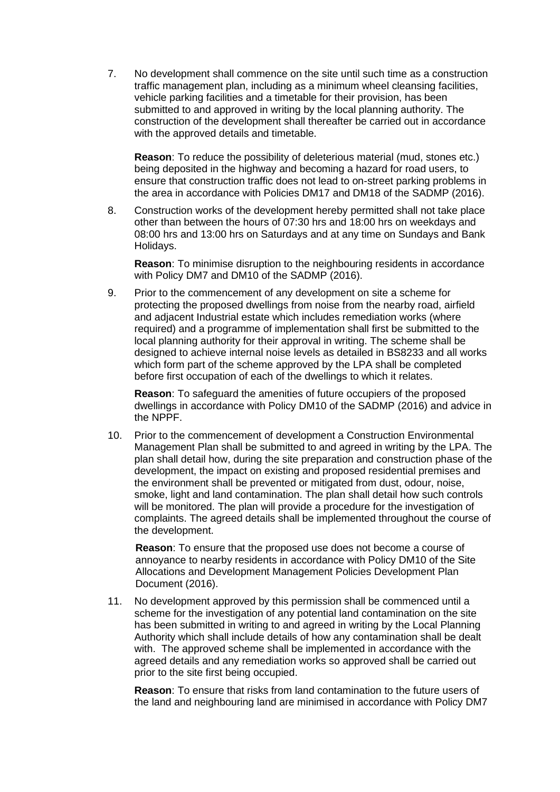7. No development shall commence on the site until such time as a construction traffic management plan, including as a minimum wheel cleansing facilities, vehicle parking facilities and a timetable for their provision, has been submitted to and approved in writing by the local planning authority. The construction of the development shall thereafter be carried out in accordance with the approved details and timetable.

**Reason**: To reduce the possibility of deleterious material (mud, stones etc.) being deposited in the highway and becoming a hazard for road users, to ensure that construction traffic does not lead to on-street parking problems in the area in accordance with Policies DM17 and DM18 of the SADMP (2016).

8. Construction works of the development hereby permitted shall not take place other than between the hours of 07:30 hrs and 18:00 hrs on weekdays and 08:00 hrs and 13:00 hrs on Saturdays and at any time on Sundays and Bank Holidays.

**Reason**: To minimise disruption to the neighbouring residents in accordance with Policy DM7 and DM10 of the SADMP (2016).

9. Prior to the commencement of any development on site a scheme for protecting the proposed dwellings from noise from the nearby road, airfield and adjacent Industrial estate which includes remediation works (where required) and a programme of implementation shall first be submitted to the local planning authority for their approval in writing. The scheme shall be designed to achieve internal noise levels as detailed in BS8233 and all works which form part of the scheme approved by the LPA shall be completed before first occupation of each of the dwellings to which it relates.

**Reason**: To safeguard the amenities of future occupiers of the proposed dwellings in accordance with Policy DM10 of the SADMP (2016) and advice in the NPPF.

10. Prior to the commencement of development a Construction Environmental Management Plan shall be submitted to and agreed in writing by the LPA. The plan shall detail how, during the site preparation and construction phase of the development, the impact on existing and proposed residential premises and the environment shall be prevented or mitigated from dust, odour, noise, smoke, light and land contamination. The plan shall detail how such controls will be monitored. The plan will provide a procedure for the investigation of complaints. The agreed details shall be implemented throughout the course of the development.

**Reason**: To ensure that the proposed use does not become a course of annoyance to nearby residents in accordance with Policy DM10 of the Site Allocations and Development Management Policies Development Plan Document (2016).

11. No development approved by this permission shall be commenced until a scheme for the investigation of any potential land contamination on the site has been submitted in writing to and agreed in writing by the Local Planning Authority which shall include details of how any contamination shall be dealt with. The approved scheme shall be implemented in accordance with the agreed details and any remediation works so approved shall be carried out prior to the site first being occupied.

**Reason**: To ensure that risks from land contamination to the future users of the land and neighbouring land are minimised in accordance with Policy DM7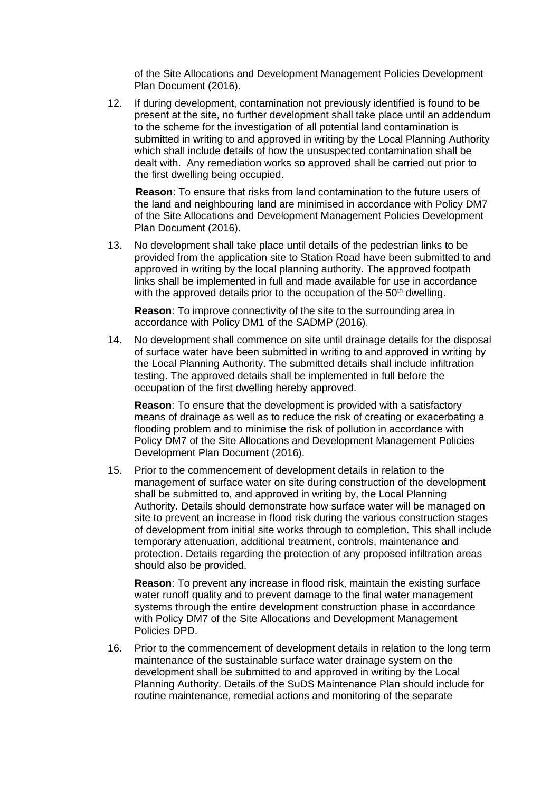of the Site Allocations and Development Management Policies Development Plan Document (2016).

12. If during development, contamination not previously identified is found to be present at the site, no further development shall take place until an addendum to the scheme for the investigation of all potential land contamination is submitted in writing to and approved in writing by the Local Planning Authority which shall include details of how the unsuspected contamination shall be dealt with. Any remediation works so approved shall be carried out prior to the first dwelling being occupied.

**Reason**: To ensure that risks from land contamination to the future users of the land and neighbouring land are minimised in accordance with Policy DM7 of the Site Allocations and Development Management Policies Development Plan Document (2016).

13. No development shall take place until details of the pedestrian links to be provided from the application site to Station Road have been submitted to and approved in writing by the local planning authority. The approved footpath links shall be implemented in full and made available for use in accordance with the approved details prior to the occupation of the 50<sup>th</sup> dwelling.

**Reason**: To improve connectivity of the site to the surrounding area in accordance with Policy DM1 of the SADMP (2016).

14. No development shall commence on site until drainage details for the disposal of surface water have been submitted in writing to and approved in writing by the Local Planning Authority. The submitted details shall include infiltration testing. The approved details shall be implemented in full before the occupation of the first dwelling hereby approved.

**Reason**: To ensure that the development is provided with a satisfactory means of drainage as well as to reduce the risk of creating or exacerbating a flooding problem and to minimise the risk of pollution in accordance with Policy DM7 of the Site Allocations and Development Management Policies Development Plan Document (2016).

15. Prior to the commencement of development details in relation to the management of surface water on site during construction of the development shall be submitted to, and approved in writing by, the Local Planning Authority. Details should demonstrate how surface water will be managed on site to prevent an increase in flood risk during the various construction stages of development from initial site works through to completion. This shall include temporary attenuation, additional treatment, controls, maintenance and protection. Details regarding the protection of any proposed infiltration areas should also be provided.

**Reason**: To prevent any increase in flood risk, maintain the existing surface water runoff quality and to prevent damage to the final water management systems through the entire development construction phase in accordance with Policy DM7 of the Site Allocations and Development Management Policies DPD.

16. Prior to the commencement of development details in relation to the long term maintenance of the sustainable surface water drainage system on the development shall be submitted to and approved in writing by the Local Planning Authority. Details of the SuDS Maintenance Plan should include for routine maintenance, remedial actions and monitoring of the separate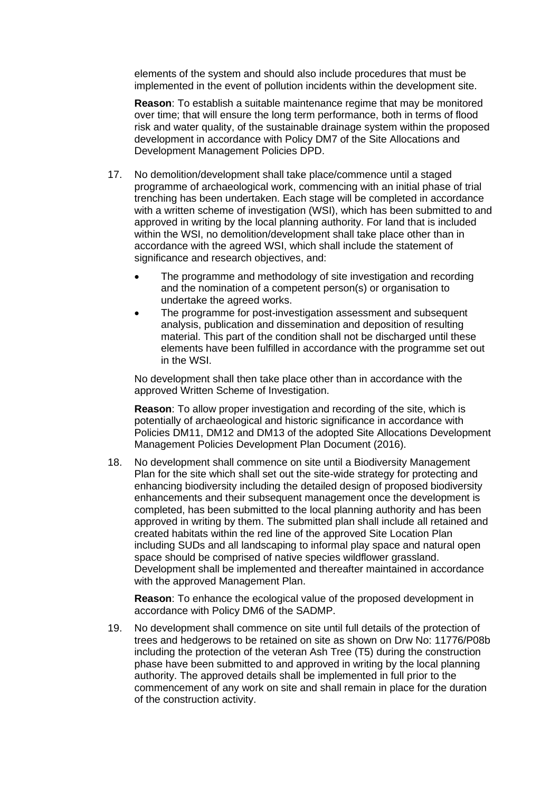elements of the system and should also include procedures that must be implemented in the event of pollution incidents within the development site.

**Reason**: To establish a suitable maintenance regime that may be monitored over time; that will ensure the long term performance, both in terms of flood risk and water quality, of the sustainable drainage system within the proposed development in accordance with Policy DM7 of the Site Allocations and Development Management Policies DPD.

- 17. No demolition/development shall take place/commence until a staged programme of archaeological work, commencing with an initial phase of trial trenching has been undertaken. Each stage will be completed in accordance with a written scheme of investigation (WSI), which has been submitted to and approved in writing by the local planning authority. For land that is included within the WSI, no demolition/development shall take place other than in accordance with the agreed WSI, which shall include the statement of significance and research objectives, and:
	- The programme and methodology of site investigation and recording and the nomination of a competent person(s) or organisation to undertake the agreed works.
	- The programme for post-investigation assessment and subsequent analysis, publication and dissemination and deposition of resulting material. This part of the condition shall not be discharged until these elements have been fulfilled in accordance with the programme set out in the WSI.

No development shall then take place other than in accordance with the approved Written Scheme of Investigation.

**Reason**: To allow proper investigation and recording of the site, which is potentially of archaeological and historic significance in accordance with Policies DM11, DM12 and DM13 of the adopted Site Allocations Development Management Policies Development Plan Document (2016).

18. No development shall commence on site until a Biodiversity Management Plan for the site which shall set out the site-wide strategy for protecting and enhancing biodiversity including the detailed design of proposed biodiversity enhancements and their subsequent management once the development is completed, has been submitted to the local planning authority and has been approved in writing by them. The submitted plan shall include all retained and created habitats within the red line of the approved Site Location Plan including SUDs and all landscaping to informal play space and natural open space should be comprised of native species wildflower grassland. Development shall be implemented and thereafter maintained in accordance with the approved Management Plan.

**Reason**: To enhance the ecological value of the proposed development in accordance with Policy DM6 of the SADMP.

19. No development shall commence on site until full details of the protection of trees and hedgerows to be retained on site as shown on Drw No: 11776/P08b including the protection of the veteran Ash Tree (T5) during the construction phase have been submitted to and approved in writing by the local planning authority. The approved details shall be implemented in full prior to the commencement of any work on site and shall remain in place for the duration of the construction activity.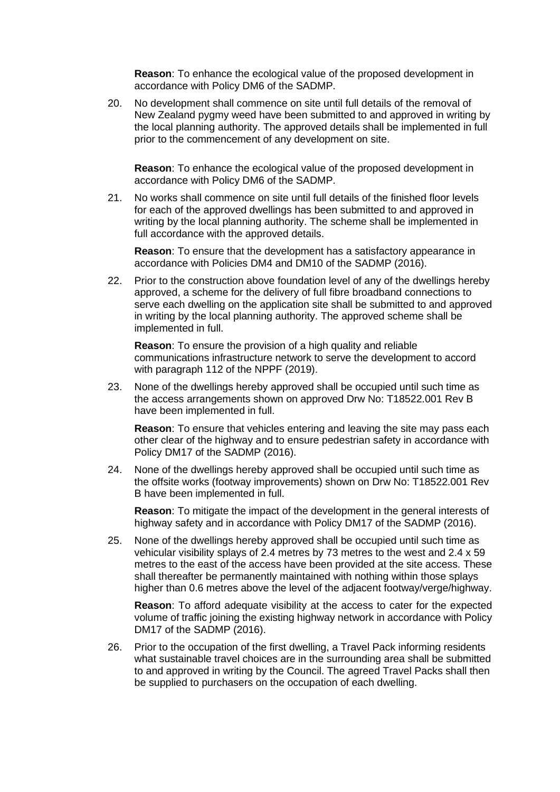**Reason**: To enhance the ecological value of the proposed development in accordance with Policy DM6 of the SADMP.

20. No development shall commence on site until full details of the removal of New Zealand pygmy weed have been submitted to and approved in writing by the local planning authority. The approved details shall be implemented in full prior to the commencement of any development on site.

**Reason**: To enhance the ecological value of the proposed development in accordance with Policy DM6 of the SADMP.

21. No works shall commence on site until full details of the finished floor levels for each of the approved dwellings has been submitted to and approved in writing by the local planning authority. The scheme shall be implemented in full accordance with the approved details.

**Reason**: To ensure that the development has a satisfactory appearance in accordance with Policies DM4 and DM10 of the SADMP (2016).

22. Prior to the construction above foundation level of any of the dwellings hereby approved, a scheme for the delivery of full fibre broadband connections to serve each dwelling on the application site shall be submitted to and approved in writing by the local planning authority. The approved scheme shall be implemented in full.

**Reason:** To ensure the provision of a high quality and reliable communications infrastructure network to serve the development to accord with paragraph 112 of the NPPF (2019).

23. None of the dwellings hereby approved shall be occupied until such time as the access arrangements shown on approved Drw No: T18522.001 Rev B have been implemented in full.

**Reason**: To ensure that vehicles entering and leaving the site may pass each other clear of the highway and to ensure pedestrian safety in accordance with Policy DM17 of the SADMP (2016).

24. None of the dwellings hereby approved shall be occupied until such time as the offsite works (footway improvements) shown on Drw No: T18522.001 Rev B have been implemented in full.

**Reason**: To mitigate the impact of the development in the general interests of highway safety and in accordance with Policy DM17 of the SADMP (2016).

25. None of the dwellings hereby approved shall be occupied until such time as vehicular visibility splays of 2.4 metres by 73 metres to the west and 2.4 x 59 metres to the east of the access have been provided at the site access. These shall thereafter be permanently maintained with nothing within those splays higher than 0.6 metres above the level of the adjacent footway/verge/highway.

**Reason**: To afford adequate visibility at the access to cater for the expected volume of traffic joining the existing highway network in accordance with Policy DM17 of the SADMP (2016).

26. Prior to the occupation of the first dwelling, a Travel Pack informing residents what sustainable travel choices are in the surrounding area shall be submitted to and approved in writing by the Council. The agreed Travel Packs shall then be supplied to purchasers on the occupation of each dwelling.